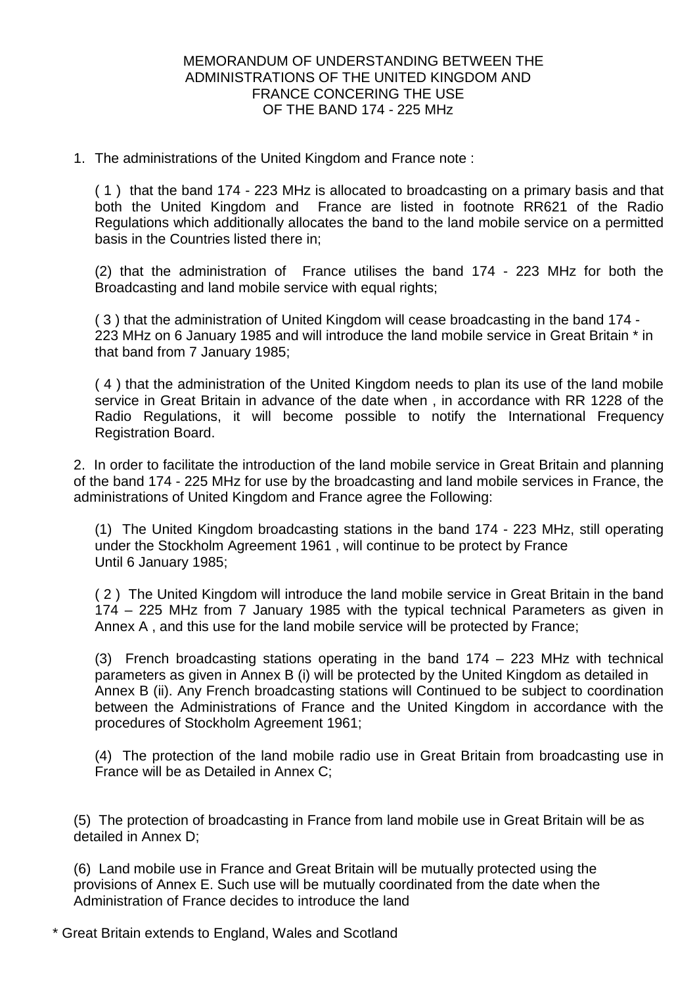#### MEMORANDUM OF UNDERSTANDING BETWEEN THE ADMINISTRATIONS OF THE UNITED KINGDOM AND FRANCE CONCERING THE USE OF THE BAND 174 - 225 MHz

1. The administrations of the United Kingdom and France note :

( 1 ) that the band 174 - 223 MHz is allocated to broadcasting on a primary basis and that both the United Kingdom and France are listed in footnote RR621 of the Radio Regulations which additionally allocates the band to the land mobile service on a permitted basis in the Countries listed there in;

(2) that the administration of France utilises the band 174 - 223 MHz for both the Broadcasting and land mobile service with equal rights;

( 3 ) that the administration of United Kingdom will cease broadcasting in the band 174 - 223 MHz on 6 January 1985 and will introduce the land mobile service in Great Britain \* in that band from 7 January 1985;

( 4 ) that the administration of the United Kingdom needs to plan its use of the land mobile service in Great Britain in advance of the date when , in accordance with RR 1228 of the Radio Regulations, it will become possible to notify the International Frequency Registration Board.

2. In order to facilitate the introduction of the land mobile service in Great Britain and planning of the band 174 - 225 MHz for use by the broadcasting and land mobile services in France, the administrations of United Kingdom and France agree the Following:

(1) The United Kingdom broadcasting stations in the band 174 - 223 MHz, still operating under the Stockholm Agreement 1961 , will continue to be protect by France Until 6 January 1985;

( 2 ) The United Kingdom will introduce the land mobile service in Great Britain in the band 174 – 225 MHz from 7 January 1985 with the typical technical Parameters as given in Annex A , and this use for the land mobile service will be protected by France;

(3) French broadcasting stations operating in the band 174 – 223 MHz with technical parameters as given in Annex B (i) will be protected by the United Kingdom as detailed in Annex B (ii). Any French broadcasting stations will Continued to be subject to coordination between the Administrations of France and the United Kingdom in accordance with the procedures of Stockholm Agreement 1961;

(4) The protection of the land mobile radio use in Great Britain from broadcasting use in France will be as Detailed in Annex C;

(5) The protection of broadcasting in France from land mobile use in Great Britain will be as detailed in Annex D;

(6) Land mobile use in France and Great Britain will be mutually protected using the provisions of Annex E. Such use will be mutually coordinated from the date when the Administration of France decides to introduce the land

\* Great Britain extends to England, Wales and Scotland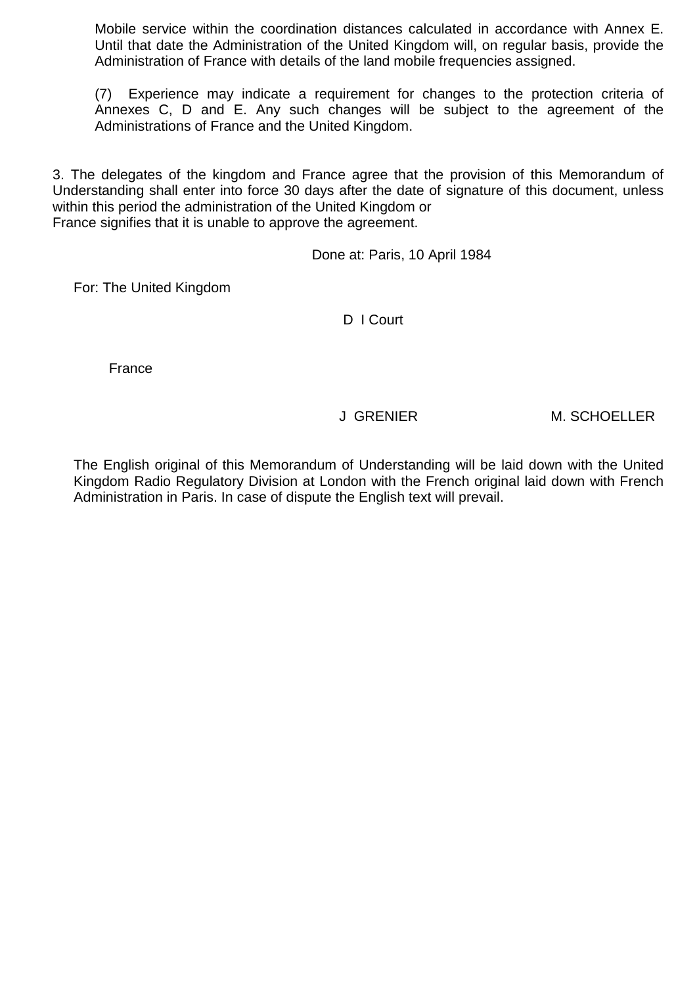Mobile service within the coordination distances calculated in accordance with Annex E. Until that date the Administration of the United Kingdom will, on regular basis, provide the Administration of France with details of the land mobile frequencies assigned.

(7) Experience may indicate a requirement for changes to the protection criteria of Annexes C, D and E. Any such changes will be subject to the agreement of the Administrations of France and the United Kingdom.

3. The delegates of the kingdom and France agree that the provision of this Memorandum of Understanding shall enter into force 30 days after the date of signature of this document, unless within this period the administration of the United Kingdom or France signifies that it is unable to approve the agreement.

Done at: Paris, 10 April 1984

For: The United Kingdom

D I Court

France

J GRENIER M. SCHOELLER

The English original of this Memorandum of Understanding will be laid down with the United Kingdom Radio Regulatory Division at London with the French original laid down with French Administration in Paris. In case of dispute the English text will prevail.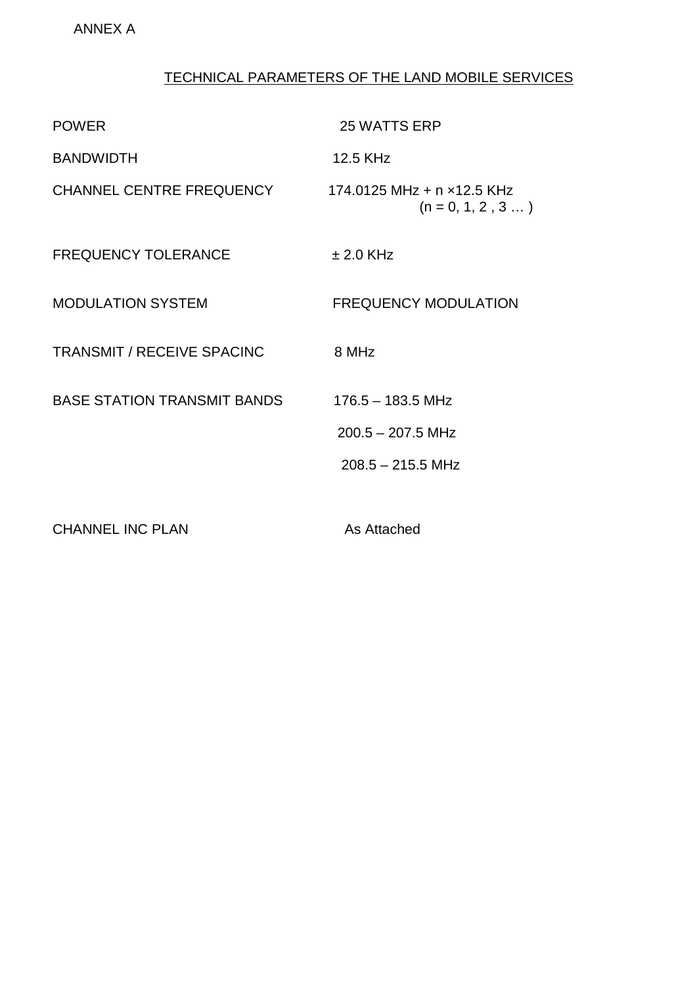# TECHNICAL PARAMETERS OF THE LAND MOBILE SERVICES

| <b>POWER</b>                       | <b>25 WATTS ERP</b>                                               |
|------------------------------------|-------------------------------------------------------------------|
| <b>BANDWIDTH</b>                   | 12.5 KHz                                                          |
| CHANNEL CENTRE FREQUENCY           | 174.0125 MHz + n x12.5 KHz<br>$(n = 0, 1, 2, 3 )$                 |
| <b>FREQUENCY TOLERANCE</b>         | $\pm 2.0$ KHz                                                     |
| <b>MODULATION SYSTEM</b>           | <b>FREQUENCY MODULATION</b>                                       |
| <b>TRANSMIT / RECEIVE SPACINC</b>  | 8 MHz                                                             |
| <b>BASE STATION TRANSMIT BANDS</b> | $176.5 - 183.5$ MHz<br>$200.5 - 207.5$ MHz<br>$208.5 - 215.5$ MHz |
| <b>CHANNEL INC PLAN</b>            | As Attached                                                       |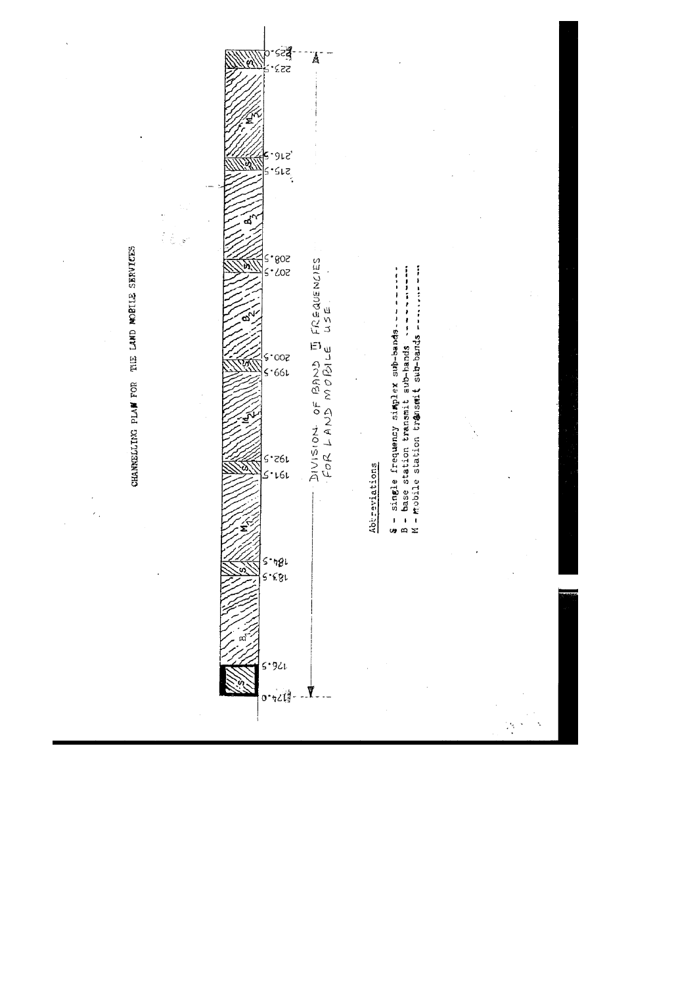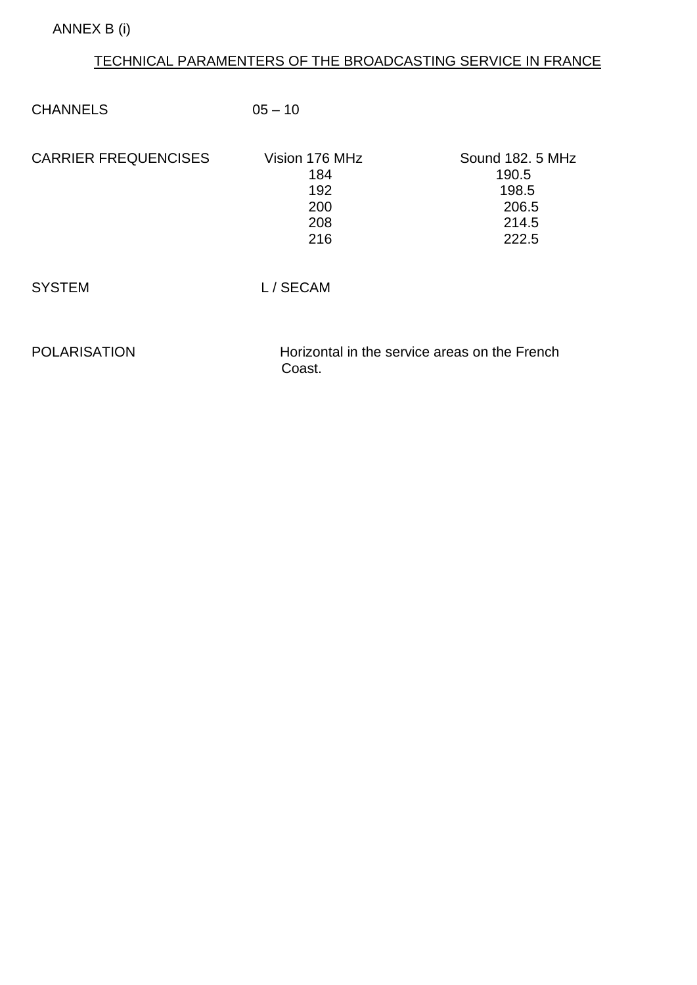# TECHNICAL PARAMENTERS OF THE BROADCASTING SERVICE IN FRANCE

| <b>CHANNELS</b>             | $05 - 10$                                               |                                                               |
|-----------------------------|---------------------------------------------------------|---------------------------------------------------------------|
| <b>CARRIER FREQUENCISES</b> | Vision 176 MHz<br>184<br>192<br>200<br>208<br>216       | Sound 182, 5 MHz<br>190.5<br>198.5<br>206.5<br>214.5<br>222.5 |
| <b>SYSTEM</b>               | L/SECAM                                                 |                                                               |
| <b>POLARISATION</b>         | Horizontal in the service areas on the French<br>Coast. |                                                               |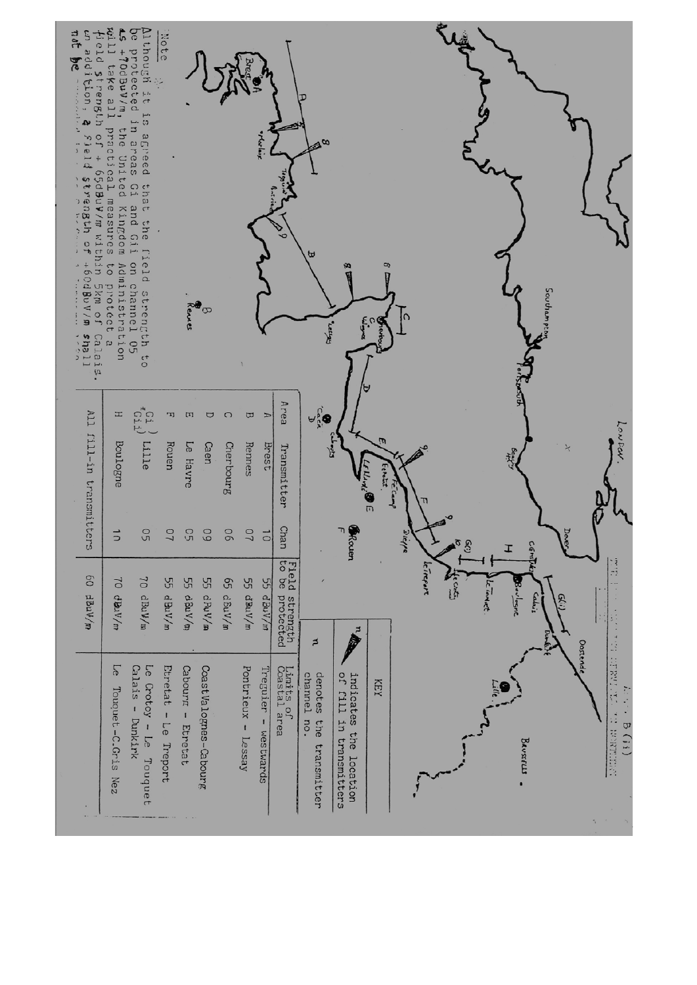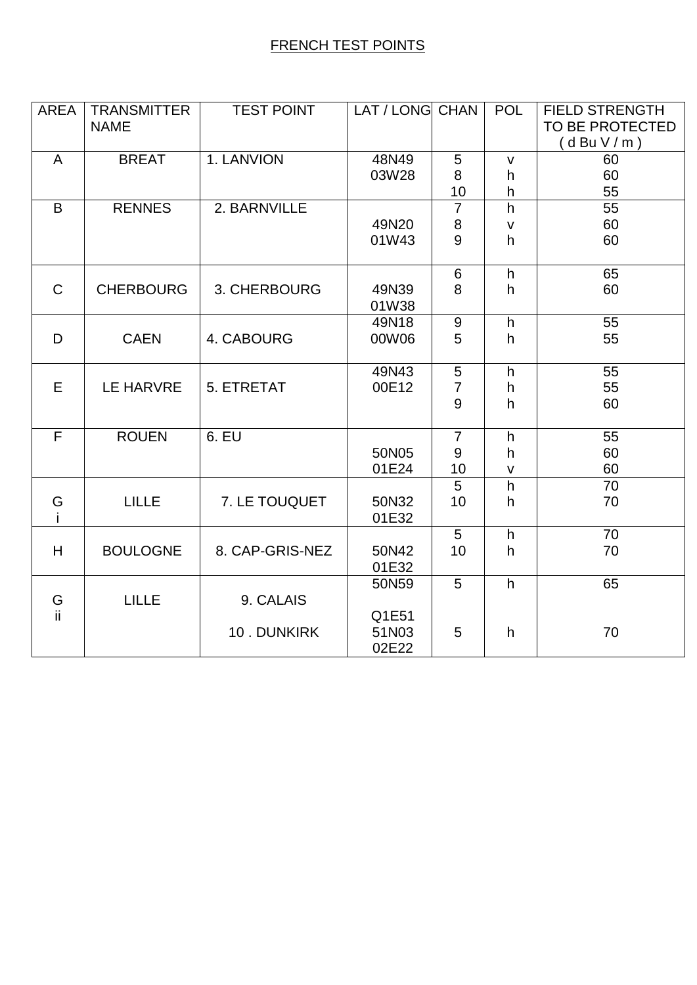## FRENCH TEST POINTS

| <b>AREA</b>    | <b>TRANSMITTER</b> | <b>TEST POINT</b> | LAT / LONG CHAN |                 | <b>POL</b>   | <b>FIELD STRENGTH</b> |
|----------------|--------------------|-------------------|-----------------|-----------------|--------------|-----------------------|
|                | <b>NAME</b>        |                   |                 |                 |              | TO BE PROTECTED       |
|                |                    |                   |                 |                 |              | (dBuV/m)              |
| A              | <b>BREAT</b>       | 1. LANVION        | 48N49           | 5               | $\mathsf{V}$ | 60                    |
|                |                    |                   | 03W28           | 8               | h            | 60                    |
|                |                    |                   |                 | 10              | h            | 55                    |
| B              | <b>RENNES</b>      | 2. BARNVILLE      |                 | $\overline{7}$  | h            | 55                    |
|                |                    |                   | 49N20           | $\,8\,$         | $\mathsf{V}$ | 60                    |
|                |                    |                   | 01W43           | 9               | h            | 60                    |
|                |                    |                   |                 |                 |              |                       |
|                |                    |                   |                 | 6               | h            | 65                    |
| $\mathsf{C}$   | <b>CHERBOURG</b>   | 3. CHERBOURG      | 49N39           | 8               | h.           | 60                    |
|                |                    |                   | 01W38           |                 |              |                       |
|                |                    |                   | 49N18           | 9               | h            | 55                    |
| D              | <b>CAEN</b>        | 4. CABOURG        | 00W06           | 5               | h            | 55                    |
|                |                    |                   |                 |                 |              |                       |
|                |                    |                   | 49N43           | $5\phantom{.0}$ | h            | 55                    |
| E              | <b>LE HARVRE</b>   | 5. ETRETAT        | 00E12           | $\overline{7}$  | h            | 55                    |
|                |                    |                   |                 | 9               | h            | 60                    |
|                |                    |                   |                 |                 |              |                       |
| $\overline{F}$ | <b>ROUEN</b>       | 6. EU             |                 | $\overline{7}$  | h            | 55                    |
|                |                    |                   | 50N05           | 9               | h            | 60                    |
|                |                    |                   | 01E24           | 10              | $\mathsf{V}$ | 60                    |
|                |                    |                   |                 | 5               | h            | 70                    |
| G              | <b>LILLE</b>       | 7. LE TOUQUET     | 50N32           | 10              | h            | 70                    |
|                |                    |                   | 01E32           |                 |              |                       |
|                |                    |                   |                 | 5               | h            | 70                    |
| H              | <b>BOULOGNE</b>    | 8. CAP-GRIS-NEZ   | 50N42           | 10              | h            | 70                    |
|                |                    |                   | 01E32           |                 |              |                       |
|                |                    |                   | 50N59           | 5               | h            | 65                    |
| G              | <b>LILLE</b>       | 9. CALAIS         |                 |                 |              |                       |
| ii.            |                    |                   | Q1E51           |                 |              |                       |
|                |                    | 10. DUNKIRK       | 51N03           | 5               | h            | 70                    |
|                |                    |                   | 02E22           |                 |              |                       |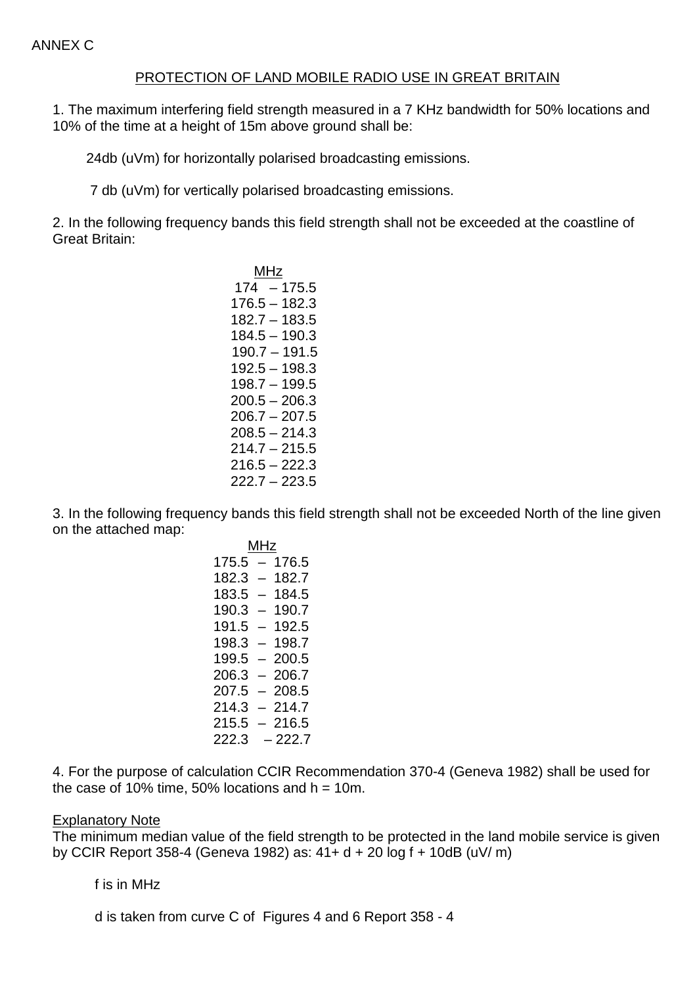#### PROTECTION OF LAND MOBILE RADIO USE IN GREAT BRITAIN

1. The maximum interfering field strength measured in a 7 KHz bandwidth for 50% locations and 10% of the time at a height of 15m above ground shall be:

24db (uVm) for horizontally polarised broadcasting emissions.

7 db (uVm) for vertically polarised broadcasting emissions.

2. In the following frequency bands this field strength shall not be exceeded at the coastline of Great Britain:

**MHz** and the contract of the contract of the contract of the contract of the contract of the contract of the con  $174 - 175.5$ MHz 176.5 – 182.3 182.7 – 183.5 184.5 – 190.3 190.7 – 191.5 192.5 – 198.3 198.7 – 199.5  $200.5 - 206.3$  $206.7 - 207.5$  $208.5 - 214.3$  $214.7 - 215.5$  $216.5 - 222.3$  $222.7 - 223.5$ 

3. In the following frequency bands this field strength shall not be exceeded North of the line given on the attached map:

> 175.5 – 176.5 MHz 182.3 – 182.7 183.5 – 184.5 190.3 – 190.7 191.5 – 192.5 198.3 – 198.7 199.5 – 200.5  $206.3 - 206.7$  $207.5 - 208.5$  $214.3 - 214.7$  $215.5 - 216.5$ 222.3 – 222.7

4. For the purpose of calculation CCIR Recommendation 370-4 (Geneva 1982) shall be used for the case of 10% time,  $50\%$  locations and  $h = 10$ m.

#### Explanatory Note

The minimum median value of the field strength to be protected in the land mobile service is given by CCIR Report 358-4 (Geneva 1982) as: 41+ d + 20 log f + 10dB (uV/ m)

f is in MHz

d is taken from curve C of Figures 4 and 6 Report 358 - 4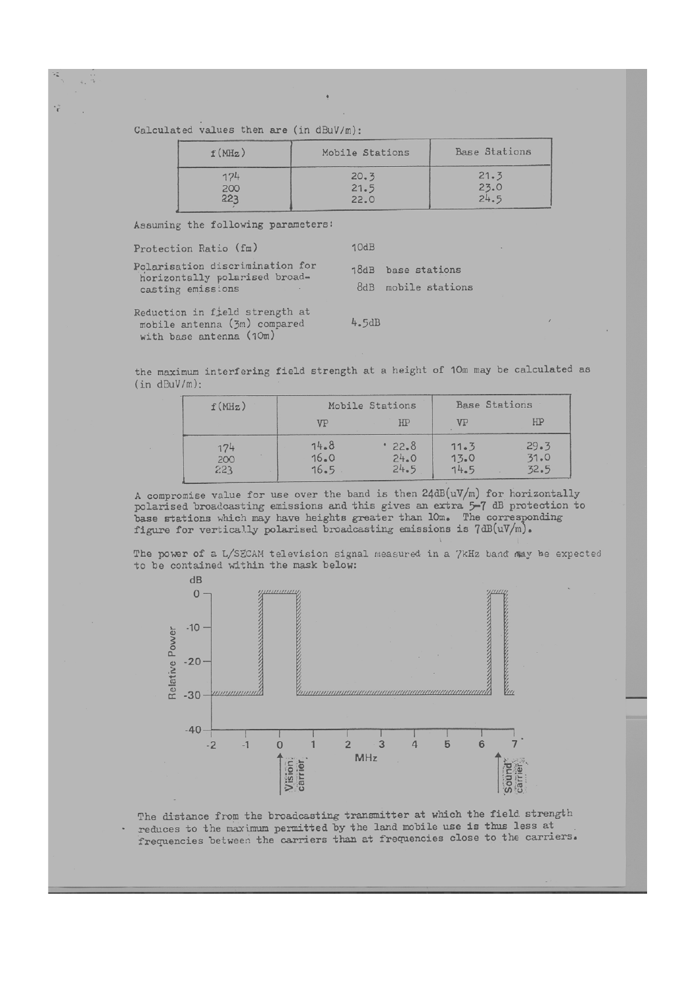Calculated values then are (in dBuV/m):

Ÿ

| f(MHz) | Mobile Stations | Base Stations |
|--------|-----------------|---------------|
| 174    | 20.3            | 21.3          |
| 200    | 21.5            | 23.0          |
| 223    | 22.0            | 24.5          |

Assuming the following parameters:

| Protection Ratio (fm)                                                                 | 10dB |                                           |
|---------------------------------------------------------------------------------------|------|-------------------------------------------|
| Polarisation discrimination for<br>horizontally polarised broad-<br>casting emissions |      | 18dB base stations<br>8dB mobile stations |
| Reduction in field strength at                                                        |      |                                           |

mobile antenna (3m) compared with base antenna (10m)

 $\ddot{\phantom{1}}$ 

 $4.5dB$ 

the maximum interfering field strength at a height of 10m may be calculated as  $(in dBuV/m):$ 

| f(MHz)                   | Mobile Stations      |                      | <b>Base Stations</b> |                      |
|--------------------------|----------------------|----------------------|----------------------|----------------------|
|                          | VP                   | HP                   | VP                   | HP                   |
| 174<br>$\frac{200}{223}$ | 14.8<br>16.0<br>16.5 | 22.8<br>24.0<br>24.5 | 11.3<br>13.0<br>14.5 | 29.3<br>31.0<br>32.5 |

A compromise value for use over the band is then 24dB(uV/m) for horizontally polarised broadcasting emissions and this gives an extra 5-7 dB protection to base stations which may have heights greater than 10m. The corresponding figure for vertically polarised broadcasting emissions is 7dB(uV/m).

The power of a L/SECAM television signal measured in a 7kHz band may be expected to be contained within the mask below:



The distance from the broadcasting transmitter at which the field strength reduces to the maximum permitted by the land mobile use is thus less at frequencies between the carriers than at frequencies close to the carriers.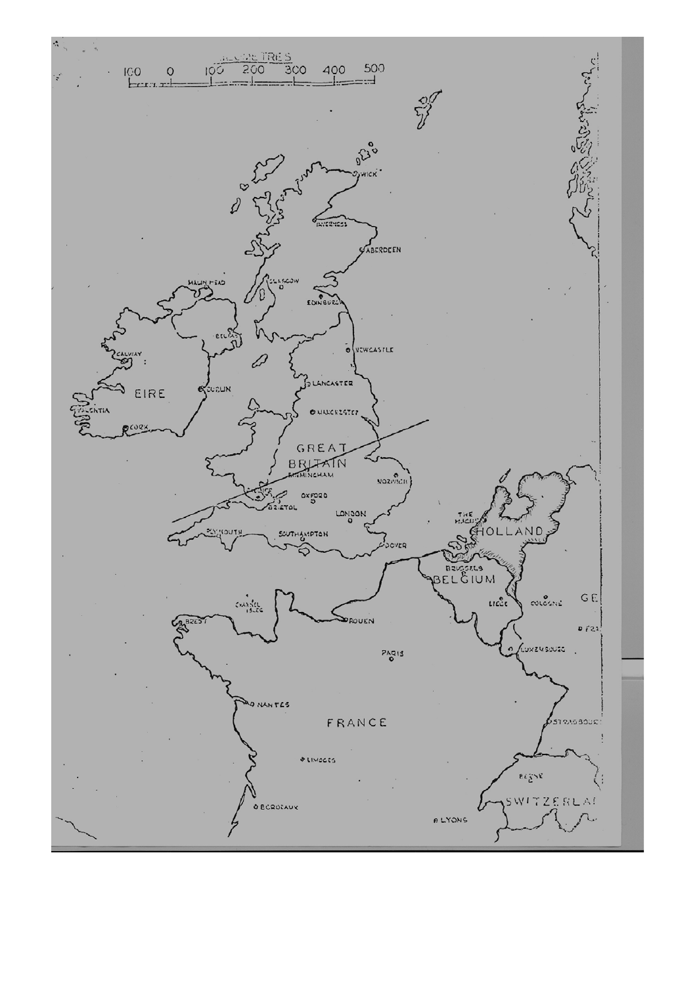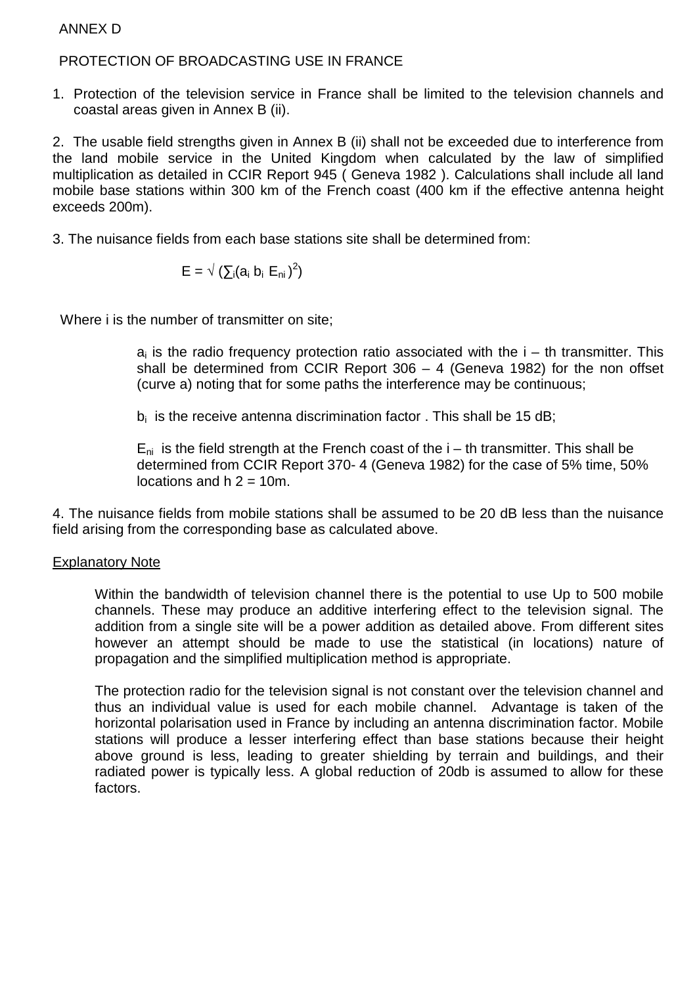### ANNEX D

### PROTECTION OF BROADCASTING USE IN FRANCE

1. Protection of the television service in France shall be limited to the television channels and coastal areas given in Annex B (ii).

2. The usable field strengths given in Annex B (ii) shall not be exceeded due to interference from the land mobile service in the United Kingdom when calculated by the law of simplified multiplication as detailed in CCIR Report 945 ( Geneva 1982 ). Calculations shall include all land mobile base stations within 300 km of the French coast (400 km if the effective antenna height exceeds 200m).

3. The nuisance fields from each base stations site shall be determined from:

$$
\mathsf{E}=\sqrt{\left(\sum_i(a_i\;b_i\;\mathsf{E}_{\mathsf{ni}})^2\right)}
$$

Where i is the number of transmitter on site;

 $a_i$  is the radio frequency protection ratio associated with the  $i - th$  transmitter. This shall be determined from CCIR Report  $306 - 4$  (Geneva 1982) for the non offset (curve a) noting that for some paths the interference may be continuous;

 $b_i$  is the receive antenna discrimination factor. This shall be 15 dB;

 $E_{ni}$  is the field strength at the French coast of the  $i - th$  transmitter. This shall be determined from CCIR Report 370- 4 (Geneva 1982) for the case of 5% time, 50% locations and  $h = 10m$ .

4. The nuisance fields from mobile stations shall be assumed to be 20 dB less than the nuisance field arising from the corresponding base as calculated above.

#### Explanatory Note

Within the bandwidth of television channel there is the potential to use Up to 500 mobile channels. These may produce an additive interfering effect to the television signal. The addition from a single site will be a power addition as detailed above. From different sites however an attempt should be made to use the statistical (in locations) nature of propagation and the simplified multiplication method is appropriate.

The protection radio for the television signal is not constant over the television channel and thus an individual value is used for each mobile channel. Advantage is taken of the horizontal polarisation used in France by including an antenna discrimination factor. Mobile stations will produce a lesser interfering effect than base stations because their height above ground is less, leading to greater shielding by terrain and buildings, and their radiated power is typically less. A global reduction of 20db is assumed to allow for these factors.